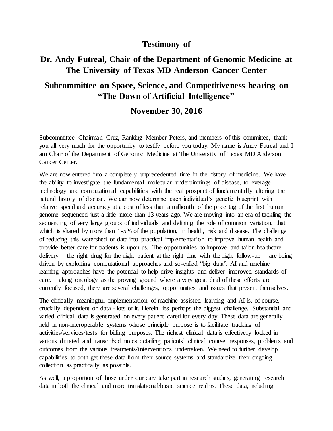## **Testimony of**

## **Dr. Andy Futreal, Chair of the Department of Genomic Medicine at The University of Texas MD Anderson Cancer Center**

## **Subcommittee on Space, Science, and Competitiveness hearing on "The Dawn of Artificial Intelligence"**

## **November 30, 2016**

Subcommittee Chairman Cruz, Ranking Member Peters, and members of this committee, thank you all very much for the opportunity to testify before you today. My name is Andy Futreal and I am Chair of the Department of Genomic Medicine at The University of Texas MD Anderson Cancer Center.

We are now entered into a completely unprecedented time in the history of medicine. We have the ability to investigate the fundamental molecular underpinnings of disease, to leverage technology and computational capabilities with the real prospect of fundamentally altering the natural history of disease. We can now determine each individual's genetic blueprint with relative speed and accuracy at a cost of less than a millionth of the price tag of the first human genome sequenced just a little more than 13 years ago. We are moving into an era of tackling the sequencing of very large groups of individuals and defining the role of common variation, that which is shared by more than 1-5% of the population, in health, risk and disease. The challenge of reducing this watershed of data into practical implementation to improve human health and provide better care for patients is upon us. The opportunities to improve and tailor healthcare delivery – the right drug for the right patient at the right time with the right follow-up – are being driven by exploiting computational approaches and so-called "big data". AI and machine learning approaches have the potential to help drive insights and deliver improved standards of care. Taking oncology as the proving ground where a very great deal of these efforts are currently focused, there are several challenges, opportunities and issues that present themselves.

The clinically meaningful implementation of machine-assisted learning and AI is, of course, crucially dependent on data - lots of it. Herein lies perhaps the biggest challenge. Substantial and varied clinical data is generated on every patient cared for every day. These data are generally held in non-interoperable systems whose principle purpose is to facilitate tracking of activities/services/tests for billing purposes. The richest clinical data is effectively locked in various dictated and transcribed notes detailing patients' clinical course, responses, problems and outcomes from the various treatments/interventions undertaken. We need to further develop capabilities to both get these data from their source systems and standardize their ongoing collection as practically as possible.

As well, a proportion of those under our care take part in research studies, generating research data in both the clinical and more translational/basic science realms. These data, including